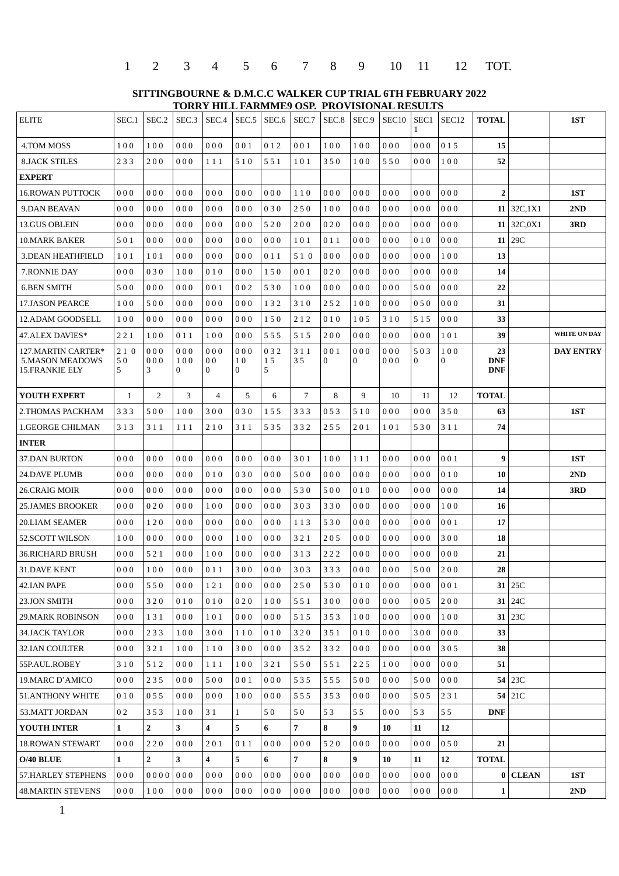| 1 2 3 4 5 6 7 8 9 10 11 12 TOT. |  |  |  |  |  |
|---------------------------------|--|--|--|--|--|
|---------------------------------|--|--|--|--|--|

**SITTINGBOURNE & D.M.C.C WALKER CUP TRIAL 6TH FEBRUARY 2022 TORRY HILL FARMME9 OSP. PROVISIONAL RESULTS** 

| <b>ELITE</b>                                                   | SEC.1          | SEC.2           | SEC.3           | SEC.4                                   | SEC.5                     | SEC.6          | SEC.7     | SEC.8               | SEC.9    | SEC <sub>10</sub> | SEC1<br>1           | SEC <sub>12</sub> | <b>TOTAL</b>                   |                 | 1ST                 |
|----------------------------------------------------------------|----------------|-----------------|-----------------|-----------------------------------------|---------------------------|----------------|-----------|---------------------|----------|-------------------|---------------------|-------------------|--------------------------------|-----------------|---------------------|
| 4.TOM MOSS                                                     | 100            | 100             | 000             | 000                                     | 001                       | 012            | 001       | 100                 | 100      | 000               | 000                 | 015               | 15                             |                 |                     |
| <b>8.JACK STILES</b>                                           | 233            | 200             | 000             | 111                                     | 510                       | 551            | 101       | 350                 | 100      | 550               | 000                 | 100               | 52                             |                 |                     |
| <b>EXPERT</b>                                                  |                |                 |                 |                                         |                           |                |           |                     |          |                   |                     |                   |                                |                 |                     |
| <b>16.ROWAN PUTTOCK</b>                                        | 000            | 000             | 000             | 000                                     | 000                       | 000            | 110       | 000                 | 000      | 000               | 000                 | 000               | $\overline{2}$                 |                 | 1ST                 |
| <b>9.DAN BEAVAN</b>                                            | 000            | 000             | 000             | 000                                     | 000                       | 030            | 250       | 100                 | 000      | 000               | 000                 | 000               |                                | $11$   32C, 1X1 | 2ND                 |
| 13.GUS OBLEIN                                                  | 000            | 000             | 000             | 000                                     | 000                       | 520            | 200       | 020                 | 000      | 000               | 000                 | 000               |                                | 11 32C, $0X1$   | 3RD                 |
| <b>10.MARK BAKER</b>                                           | 501            | 000             | 000             | 000                                     | 000                       | 000            | 101       | 011                 | 000      | 000               | 010                 | 000               |                                | $11$   29C      |                     |
| <b>3.DEAN HEATHFIELD</b>                                       | 101            | 101             | 000             | 000                                     | 000                       | 011            | 510       | 000                 | 000      | 000               | 000                 | 100               | 13                             |                 |                     |
| 7. RONNIE DAY                                                  | 000            | 030             | 100             | 010                                     | 000                       | 150            | 001       | 020                 | 000      | 000               | 000                 | 000               | 14                             |                 |                     |
| <b>6.BEN SMITH</b>                                             | 500            | 000             | 000             | 001                                     | 002                       | 530            | 100       | 000                 | 000      | 000               | 500                 | 000               | 22                             |                 |                     |
| 17.JASON PEARCE                                                | 100            | 500             | 000             | 000                                     | 000                       | 132            | 310       | 252                 | 100      | 000               | 050                 | 000               | 31                             |                 |                     |
| 12.ADAM GOODSELL                                               | 100            | 000             | 000             | 000                                     | 000                       | 150            | 212       | 010                 | 105      | 310               | 515                 | 000               | 33                             |                 |                     |
| 47.ALEX DAVIES*                                                | 221            | 100             | 011             | 100                                     | 000                       | 555            | 515       | 200                 | 000      | 000               | 000                 | 101               | 39                             |                 | <b>WHITE ON DAY</b> |
| 127.MARTIN CARTER*<br><b>5.MASON MEADOWS</b><br>15.FRANKIE ELY | 210<br>50<br>5 | 000<br>000<br>3 | 000<br>100<br>0 | 000<br>0 <sub>0</sub><br>$\overline{0}$ | 000<br>10<br>$\mathbf{0}$ | 032<br>15<br>5 | 311<br>35 | 001<br>$\mathbf{0}$ | 000<br>0 | 000<br>000        | 503<br>$\mathbf{0}$ | 100<br>$\bf{0}$   | 23<br><b>DNF</b><br><b>DNF</b> |                 | <b>DAY ENTRY</b>    |
| <b>YOUTH EXPERT</b>                                            | $\mathbf{1}$   | $\overline{2}$  | 3               | $\overline{4}$                          | 5                         | 6              | 7         | 8                   | 9        | 10                | 11                  | 12                | <b>TOTAL</b>                   |                 |                     |
| 2.THOMAS PACKHAM                                               | 333            | 500             | 100             | 300                                     | 030                       | 155            | 333       | 053                 | 510      | 000               | 000                 | 350               | 63                             |                 | 1ST                 |
| 1.GEORGE CHILMAN                                               | 313            | 311             | 111             | 210                                     | 311                       | 535            | 332       | 255                 | 201      | 101               | 530                 | 311               | 74                             |                 |                     |
| <b>INTER</b>                                                   |                |                 |                 |                                         |                           |                |           |                     |          |                   |                     |                   |                                |                 |                     |
| <b>37.DAN BURTON</b>                                           | 000            | 000             | 000             | 000                                     | 000                       | 000            | 301       | 100                 | 111      | 000               | 000                 | 001               | 9                              |                 | 1ST                 |
| 24.DAVE PLUMB                                                  | 000            | 000             | 000             | 010                                     | 030                       | 000            | 500       | 000                 | 000      | 000               | 000                 | 010               | 10                             |                 | 2ND                 |
| 26.CRAIG MOIR                                                  | 000            | 000             | 000             | 000                                     | 000                       | 000            | 530       | 500                 | 010      | 000               | 000                 | 000               | 14                             |                 | 3RD                 |
| 25.JAMES BROOKER                                               | 000            | 020             | 000             | 100                                     | 000                       | 000            | 303       | 330                 | 000      | 000               | 000                 | 100               | 16                             |                 |                     |
| <b>20.LIAM SEAMER</b>                                          | 000            | 120             | 000             | 000                                     | 000                       | 000            | 113       | 530                 | 000      | 000               | 000                 | 001               | 17                             |                 |                     |
| 52.SCOTT WILSON                                                | 100            | 000             | 000             | 000                                     | 100                       | 000            | 321       | 205                 | 000      | 000               | 000                 | 300               | 18                             |                 |                     |
| 36.RICHARD BRUSH                                               | 000            | 521             | 000             | 100                                     | 000                       | 000            | 313       | 222                 | 000      | 000               | 000                 | 000               | 21                             |                 |                     |
| <b>31.DAVE KENT</b>                                            | 000            | 100             | 000             | 011                                     | 300                       | 000            | 303       | 333                 | 000      | 000               | 500                 | 200               | 28                             |                 |                     |
| 42.IAN PAPE                                                    | 000            | 550             | 000             | 121                                     | 000                       | 000            | 250       | 530                 | 010      | 000               | 000                 | 001               | 31                             | 25C             |                     |
| 23.JON SMITH                                                   | 000            | 320             | 010             | 010                                     | 020                       | 100            | 551       | 300                 | 000      | 000               | 005                 | 200               |                                | $31$ 24C        |                     |
| 29.MARK ROBINSON                                               | 000            | 131             | 000             | 101                                     | 000                       | 000            | 515       | 353                 | 100      | 000               | 000                 | 100               |                                | $31 \mid 23C$   |                     |
| 34.JACK TAYLOR                                                 | 000            | 233             | 100             | 300                                     | 110                       | 010            | 320       | 351                 | 010      | 000               | 300                 | 000               | 33                             |                 |                     |
| 32.IAN COULTER                                                 | 000            | 321             | 100             | 110                                     | 300                       | 000            | 352       | 332                 | 000      | 000               | 000                 | 305               | 38                             |                 |                     |
| 55P.AUL.ROBEY                                                  | 310            | 512             | 000             | 111                                     | 100                       | 321            | 550       | 551                 | 225      | 100               | 000                 | 000               | 51                             |                 |                     |
| 19.MARC D'AMICO                                                | 000            | 235             | 000             | 500                                     | 001                       | 000            | 535       | 555                 | 500      | 000               | 500                 | 000               |                                | 54 23C          |                     |
| 51.ANTHONY WHITE                                               | 010            | 055             | 000             | 000                                     | 100                       | 000            | 555       | 353                 | 000      | 000               | 505                 | 231               |                                | $54$ 21C        |                     |
| 53.MATT JORDAN                                                 | 02             | 353             | 100             | 31                                      | $\mathbf{1}$              | 50             | 50        | 53                  | 55       | 000               | 53                  | 55                | <b>DNF</b>                     |                 |                     |
| <b>YOUTH INTER</b>                                             | $\mathbf{1}$   | $\overline{2}$  | 3               | $\overline{\mathbf{4}}$                 | 5                         | 6              | 7         | 8                   | 9        | 10                | 11                  | 12                |                                |                 |                     |
| <b>18.ROWAN STEWART</b>                                        | 000            | 220             | 000             | 201                                     | 011                       | 000            | 000       | 520                 | 000      | 000               | 000                 | 050               | 21                             |                 |                     |
| O/40 BLUE                                                      | $\mathbf{1}$   | $\overline{2}$  | 3               | 4                                       | 5                         | 6              | 7         | 8                   | 9        | 10                | 11                  | 12                | <b>TOTAL</b>                   |                 |                     |
| 57.HARLEY STEPHENS                                             | 000            | 00000000        |                 | 000                                     | 000                       | 000            | 000       | 000                 | 000      | 000               | 000                 | 000               |                                | $0$ CLEAN       | 1ST                 |
| 48.MARTIN STEVENS                                              | 000            | 100             | 000             | 000                                     | 000                       | 000            | 000       | 000                 | 000      | 000               | 000                 | 000               | $\mathbf{1}$                   |                 | 2ND                 |
|                                                                |                |                 |                 |                                         |                           |                |           |                     |          |                   |                     |                   |                                |                 |                     |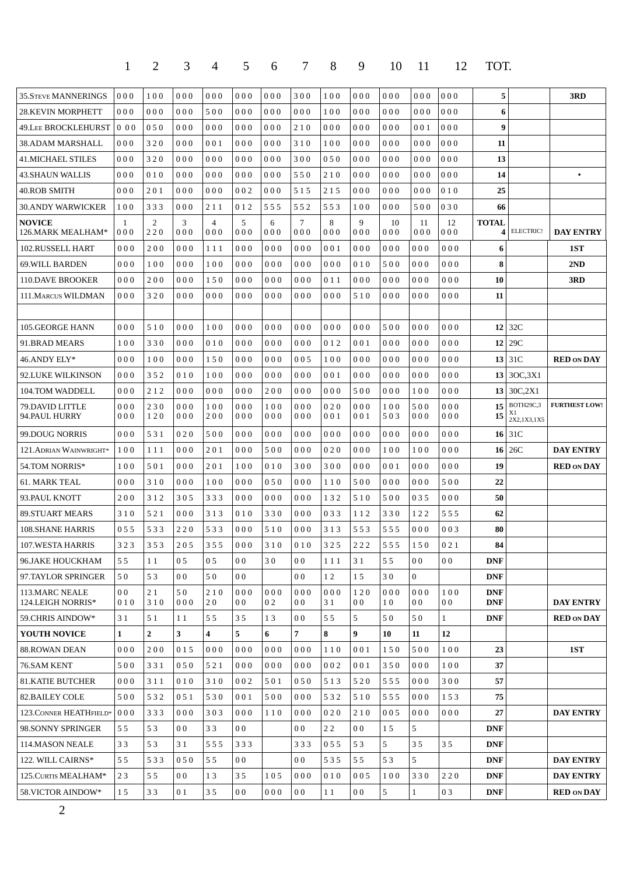|                                     | $\mathbf{1}$          | $\overline{2}$ | 3              | 4                       | 5                     | 6                     | 7                     | 8          | 9                     | 10         | 11                    | 12                    | TOT.                     |                                |                      |
|-------------------------------------|-----------------------|----------------|----------------|-------------------------|-----------------------|-----------------------|-----------------------|------------|-----------------------|------------|-----------------------|-----------------------|--------------------------|--------------------------------|----------------------|
| <b>35. STEVE MANNERINGS</b>         | 000                   | 100            | 000            | 000                     | 000                   | 000                   | 300                   | 100        | 000                   | 000        | 000                   | 000                   | 5                        |                                | 3RD                  |
| 28.KEVIN MORPHETT                   | 000                   | 000            | 000            | 500                     | 000                   | 000                   | 000                   | 100        | 000                   | 000        | 000                   | 000                   | 6                        |                                |                      |
| 49.Lee BROCKLEHURST                 | $0\,00$               | 050            | 000            | 000                     | 000                   | 000                   | 210                   | 000        | 000                   | 000        | 001                   | 000                   | $\boldsymbol{9}$         |                                |                      |
| 38.ADAM MARSHALL                    | 000                   | 320            | 000            | 001                     | 000                   | 000                   | 310                   | 100        | 000                   | 000        | 000                   | 000                   | 11                       |                                |                      |
| 41.MICHAEL STILES                   | 000                   | 320            | 000            | $0\;0\;0$               | 000                   | 000                   | 300                   | 050        | 000                   | 000        | 000                   | 000                   | 13                       |                                |                      |
| 43.SHAUN WALLIS                     | 000                   | 010            | 000            | 000                     | 000                   | 000                   | 550                   | 210        | 000                   | 000        | 000                   | 000                   | 14                       |                                |                      |
| 40.ROB SMITH                        | 000                   | 201            | 000            | 000                     | 002                   | 000                   | 515                   | 215        | 000                   | 000        | 000                   | 010                   | 25                       |                                |                      |
| 30.ANDY WARWICKER                   | 100                   | 333            | 000            | 211                     | 012                   | 555                   | 552                   | 553        | 100                   | 000        | 500                   | 030                   | 66                       |                                |                      |
| <b>NOVICE</b><br>126.MARK MEALHAM*  | 1<br>000              | 2<br>220       | 3<br>000       | $\overline{4}$<br>000   | 5<br>000              | 6<br>000              | 7<br>000              | 8<br>000   | 9<br>000              | 10<br>000  | 11<br>000             | 12<br>000             | <b>TOTAL</b><br>4        | ELECTRIC!                      | <b>DAY ENTRY</b>     |
| 102.RUSSELL HART                    | 000                   | 200            | 000            | 111                     | 000                   | 000                   | 000                   | 001        | 000                   | 000        | 000                   | 000                   | $6\phantom{1}$           |                                | 1ST                  |
| <b>69. WILL BARDEN</b>              | 000                   | 100            | 000            | 100                     | 000                   | 000                   | 000                   | 000        | 010                   | 500        | 000                   | 000                   | 8                        |                                | 2ND                  |
| <b>110.DAVE BROOKER</b>             | 000                   | 200            | 000            | 150                     | 000                   | 000                   | 000                   | 011        | 000                   | 000        | 000                   | 000                   | 10                       |                                | 3RD                  |
| 111. MARCUS WILDMAN                 | 000                   | 320            | 000            | 000                     | 000                   | 000                   | 000                   | 000        | 510                   | 000        | 000                   | 000                   | 11                       |                                |                      |
|                                     |                       |                |                |                         |                       |                       |                       |            |                       |            |                       |                       |                          |                                |                      |
| <b>105.GEORGE HANN</b>              | 000                   | 510            | 000            | 100                     | 000                   | 000                   | 000                   | 000        | 000                   | 500        | 000                   | 000                   |                          | $12$ 32C                       |                      |
| 91.BRAD MEARS                       | 100                   | 330            | 000            | 010                     | 000                   | 000                   | 000                   | 012        | 001                   | 000        | 000                   | 000                   |                          | 12 29C                         |                      |
| 46.ANDY ELY*                        | 000                   | 100            | 000            | 150                     | 000                   | 000                   | 005                   | 100        | 000                   | 000        | 000                   | 000                   |                          | 13 31C                         | <b>RED ON DAY</b>    |
| 92.LUKE WILKINSON                   | 000                   | 352            | 010            | 100                     | 000                   | 000                   | 000                   | 001        | 000                   | 000        | 000                   | 000                   |                          | 13 3OC, 3X1                    |                      |
| 104.TOM WADDELL                     | 000                   | 212            | 000            | 000                     | 000                   | 200                   | 000                   | 000        | 500                   | 000        | 100                   | 000                   |                          | 13 30C, $2X1$                  |                      |
| 79.DAVID LITTLE<br>94.PAUL HURRY    | 000<br>000            | 230<br>120     | 000<br>000     | 100<br>200              | 000<br>000            | 100<br>000            | 000<br>000            | 020<br>001 | 000<br>001            | 100<br>503 | 500<br>000            | 000<br>000            | 15<br>15                 | BOTH29C,3<br>X1<br>2X2,1X3,1X5 | <b>FURTHEST LOW!</b> |
| 99.DOUG NORRIS                      | 000                   | 531            | 020            | 500                     | 000                   | 000                   | 000                   | 000        | 000                   | 000        | 000                   | 000                   |                          | $16$   31C                     |                      |
| 121. ADRIAN WAINWRIGHT*             | 100                   | 111            | 000            | 201                     | 000                   | 500                   | 000                   | 020        | 000                   | 100        | 100                   | 000                   |                          | $16$   26C                     | <b>DAY ENTRY</b>     |
| 54.TOM NORRIS*                      | 100                   | 501            | 000            | 201                     | 100                   | 010                   | 300                   | 300        | 000                   | 001        | 000                   | 000                   | 19                       |                                | <b>RED ON DAY</b>    |
| <b>61. MARK TEAL</b>                | 000                   | 310            | 000            | 100                     | 000                   | 050                   | 000                   | 110        | 500                   | 000        | 000                   | 500                   | 22                       |                                |                      |
| 93.PAUL KNOTT                       | 200                   | 312            | 305            | 333                     | 000                   | 000                   | 000                   | 132        | 510                   | 500        | 035                   | 000                   | 50                       |                                |                      |
| <b>89.STUART MEARS</b>              | 310                   | 521            | 000            | 313                     | 010                   | 330                   | 000                   | 033        | 112                   | 330        | 122                   | 555                   | 62                       |                                |                      |
| 108.SHANE HARRIS                    | 055                   | 533            | 220            | 533                     | 000                   | 510                   | 000                   | 313        | 553                   | 555        | 000                   | 003                   | $\bf{80}$                |                                |                      |
| 107.WESTA HARRIS                    | 323                   | 353            | 205            | 355                     | 000                   | 310                   | 010                   | 325        | 222                   | 555        | 150                   | 021                   | 84                       |                                |                      |
| 96.JAKE HOUCKHAM                    | 55                    | 11             | 05             | 05                      | 0 <sub>0</sub>        | 30                    | 0 <sub>0</sub>        | 111        | 31                    | 55         | 0 <sub>0</sub>        | 0 <sub>0</sub>        | <b>DNF</b>               |                                |                      |
| 97.TAYLOR SPRINGER                  | 50                    | 53             | 0 <sub>0</sub> | 50                      | 0 <sub>0</sub>        |                       | 0 <sub>0</sub>        | 12         | 15                    | 30         | $\overline{0}$        |                       | <b>DNF</b>               |                                |                      |
| 113.MARC NEALE<br>124.LEIGH NORRIS* | 0 <sub>0</sub><br>010 | 21<br>310      | 50<br>000      | 210<br>20               | 000<br>0 <sub>0</sub> | 000<br>0 <sub>2</sub> | 000<br>0 <sub>0</sub> | 000<br>31  | 120<br>0 <sub>0</sub> | 000<br>10  | 000<br>0 <sub>0</sub> | 100<br>0 <sub>0</sub> | <b>DNF</b><br><b>DNF</b> |                                | <b>DAY ENTRY</b>     |
| 59. CHRIS AINDOW*                   | 31                    | 51             | 11             | 55                      | 35                    | 13                    | 0 <sub>0</sub>        | 55         | 5                     | 50         | 50                    | 1                     | <b>DNF</b>               |                                | <b>RED ON DAY</b>    |
| YOUTH NOVICE                        | $\mathbf{1}$          | $\overline{2}$ | 3              | $\overline{\mathbf{4}}$ | 5                     | 6                     | $\overline{7}$        | 8          | 9                     | 10         | 11                    | 12                    |                          |                                |                      |
| <b>88.ROWAN DEAN</b>                | 000                   | 200            | 015            | 000                     | 000                   | 000                   | 000                   | 110        | 001                   | 150        | 500                   | 100                   | 23                       |                                | 1ST                  |
| 76.SAM KENT                         | 500                   | 331            | 050            | 521                     | 000                   | 000                   | 000                   | 002        | 001                   | 350        | 000                   | 100                   | 37                       |                                |                      |
| <b>81.KATIE BUTCHER</b>             | 000                   | 311            | 010            | 310                     | 002                   | 501                   | 050                   | 513        | 520                   | 555        | 000                   | 300                   | 57                       |                                |                      |
| <b>82.BAILEY COLE</b>               | 500                   | 532            | 051            | 530                     | 001                   | 500                   | 000                   | 532        | 510                   | 555        | 000                   | 153                   | 75                       |                                |                      |
| 123. CONNER HEATHFIELD*             | 000                   | 333            | 000            | 303                     | 000                   | 110                   | 000                   | 020        | 210                   | 005        | 000                   | 000                   | 27                       |                                | <b>DAY ENTRY</b>     |
| 98.SONNY SPRINGER                   | 55                    | 53             | 0 <sub>0</sub> | 33                      | 0 <sub>0</sub>        |                       | 0 <sub>0</sub>        | 22         | 0 <sub>0</sub>        | 15         | 5                     |                       | <b>DNF</b>               |                                |                      |
| 114.MASON NEALE                     | 33                    | 53             | 31             | 555                     | 333                   |                       | 333                   | 055        | 53                    | 5          | 35                    | 35                    | <b>DNF</b>               |                                |                      |
| 122. WILL CAIRNS*                   | 55                    | 533            | 050            | 55                      | 0 <sub>0</sub>        |                       | 0 <sub>0</sub>        | 535        | 55                    | 53         | 5                     |                       | <b>DNF</b>               |                                | <b>DAY ENTRY</b>     |
| 125. CURTIS MEALHAM*                | 23                    | 55             | 0 <sub>0</sub> | 13                      | 35                    | 105                   | 000                   | 010        | 005                   | 100        | 330                   | 220                   | <b>DNF</b>               |                                | <b>DAY ENTRY</b>     |
| 58. VICTOR AINDOW*                  | 15                    | 33             | 0 <sub>1</sub> | 35                      | 0 <sub>0</sub>        | 000                   | 0 <sub>0</sub>        | $1\;1$     | 0 <sub>0</sub>        | 5          | $\mathbf{1}$          | 03                    | <b>DNF</b>               |                                | <b>RED ON DAY</b>    |